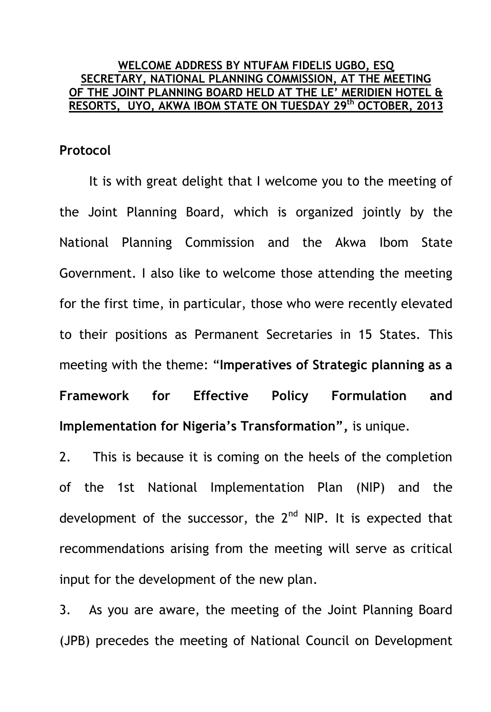## **WELCOME ADDRESS BY NTUFAM FIDELIS UGBO, ESQ SECRETARY, NATIONAL PLANNING COMMISSION, AT THE MEETING OF THE JOINT PLANNING BOARD HELD AT THE LE' MERIDIEN HOTEL & RESORTS, UYO, AKWA IBOM STATE ON TUESDAY 29 th OCTOBER, 2013**

## **Protocol**

It is with great delight that I welcome you to the meeting of the Joint Planning Board, which is organized jointly by the National Planning Commission and the Akwa Ibom State Government. I also like to welcome those attending the meeting for the first time, in particular, those who were recently elevated to their positions as Permanent Secretaries in 15 States. This meeting with the theme: "**Imperatives of Strategic planning as a Framework for Effective Policy Formulation and Implementation for Nigeria's Transformation",** is unique.

2. This is because it is coming on the heels of the completion of the 1st National Implementation Plan (NIP) and the development of the successor, the  $2<sup>nd</sup>$  NIP. It is expected that recommendations arising from the meeting will serve as critical input for the development of the new plan.

3. As you are aware, the meeting of the Joint Planning Board (JPB) precedes the meeting of National Council on Development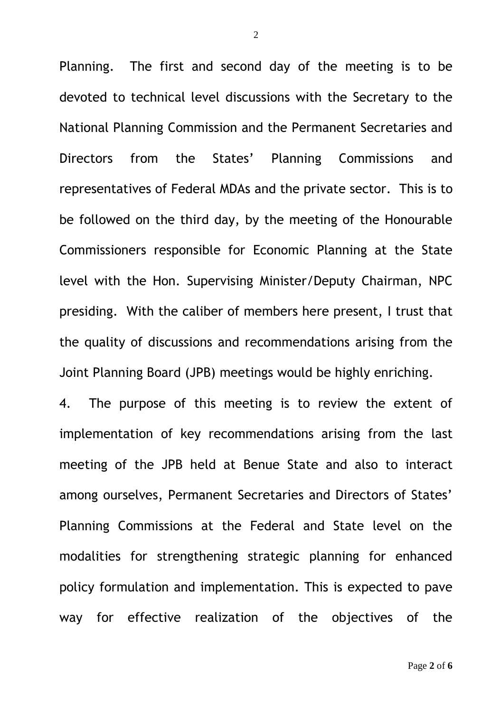Planning. The first and second day of the meeting is to be devoted to technical level discussions with the Secretary to the National Planning Commission and the Permanent Secretaries and Directors from the States' Planning Commissions and representatives of Federal MDAs and the private sector. This is to be followed on the third day, by the meeting of the Honourable Commissioners responsible for Economic Planning at the State level with the Hon. Supervising Minister/Deputy Chairman, NPC presiding. With the caliber of members here present, I trust that the quality of discussions and recommendations arising from the Joint Planning Board (JPB) meetings would be highly enriching.

4. The purpose of this meeting is to review the extent of implementation of key recommendations arising from the last meeting of the JPB held at Benue State and also to interact among ourselves, Permanent Secretaries and Directors of States' Planning Commissions at the Federal and State level on the modalities for strengthening strategic planning for enhanced policy formulation and implementation. This is expected to pave way for effective realization of the objectives of the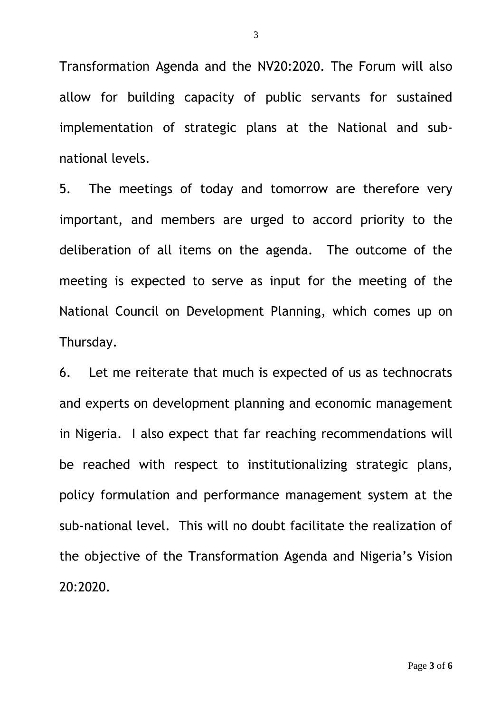Transformation Agenda and the NV20:2020. The Forum will also allow for building capacity of public servants for sustained implementation of strategic plans at the National and subnational levels.

5. The meetings of today and tomorrow are therefore very important, and members are urged to accord priority to the deliberation of all items on the agenda. The outcome of the meeting is expected to serve as input for the meeting of the National Council on Development Planning, which comes up on Thursday.

6. Let me reiterate that much is expected of us as technocrats and experts on development planning and economic management in Nigeria. I also expect that far reaching recommendations will be reached with respect to institutionalizing strategic plans, policy formulation and performance management system at the sub-national level. This will no doubt facilitate the realization of the objective of the Transformation Agenda and Nigeria's Vision 20:2020.

3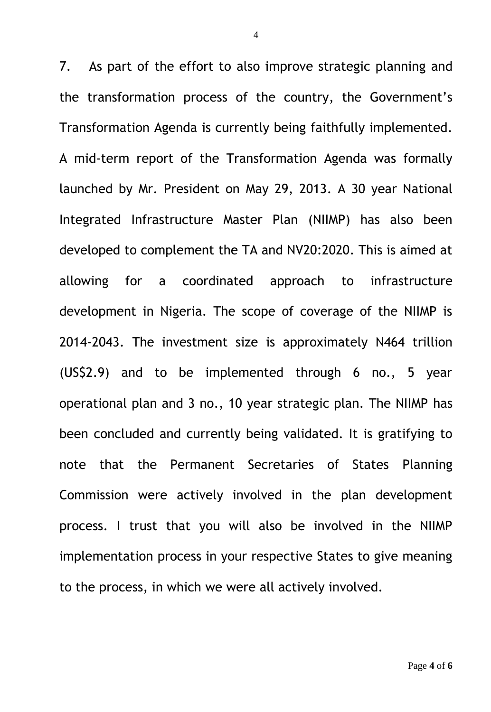7. As part of the effort to also improve strategic planning and the transformation process of the country, the Government's Transformation Agenda is currently being faithfully implemented. A mid-term report of the Transformation Agenda was formally launched by Mr. President on May 29, 2013. A 30 year National Integrated Infrastructure Master Plan (NIIMP) has also been developed to complement the TA and NV20:2020. This is aimed at allowing for a coordinated approach to infrastructure development in Nigeria. The scope of coverage of the NIIMP is 2014-2043. The investment size is approximately N464 trillion (US\$2.9) and to be implemented through 6 no., 5 year operational plan and 3 no., 10 year strategic plan. The NIIMP has been concluded and currently being validated. It is gratifying to note that the Permanent Secretaries of States Planning Commission were actively involved in the plan development process. I trust that you will also be involved in the NIIMP implementation process in your respective States to give meaning to the process, in which we were all actively involved.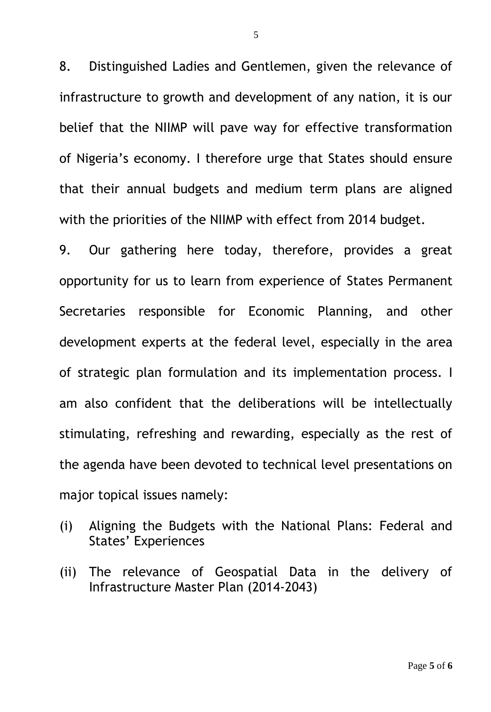8. Distinguished Ladies and Gentlemen, given the relevance of infrastructure to growth and development of any nation, it is our belief that the NIIMP will pave way for effective transformation of Nigeria's economy. I therefore urge that States should ensure that their annual budgets and medium term plans are aligned with the priorities of the NIIMP with effect from 2014 budget.

9. Our gathering here today, therefore, provides a great opportunity for us to learn from experience of States Permanent Secretaries responsible for Economic Planning, and other development experts at the federal level, especially in the area of strategic plan formulation and its implementation process. I am also confident that the deliberations will be intellectually stimulating, refreshing and rewarding, especially as the rest of the agenda have been devoted to technical level presentations on major topical issues namely:

- (i) Aligning the Budgets with the National Plans: Federal and States' Experiences
- (ii) The relevance of Geospatial Data in the delivery of Infrastructure Master Plan (2014-2043)

5